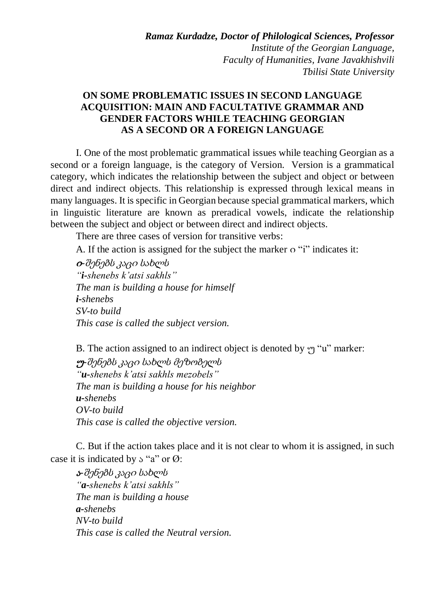*Ramaz Kurdadze, Doctor of Philological Sciences, Professor Institute of the Georgian Language, Faculty of Humanities, Ivane Javakhishvili Tbilisi State University*

## **ON SOME PROBLEMATIC ISSUES IN SECOND LANGUAGE ACQUISITION: MAIN AND FACULTATIVE GRAMMAR AND GENDER FACTORS WHILE TEACHING GEORGIAN AS A SECOND OR A FOREIGN LANGUAGE**

I. One of the most problematic grammatical issues while teaching Georgian as a second or a foreign language, is the category of Version. Version is a grammatical category, which indicates the relationship between the subject and object or between direct and indirect objects. This relationship is expressed through lexical means in many languages. It is specific in Georgian because special grammatical markers, which in linguistic literature are known as preradical vowels, indicate the relationship between the subject and object or between direct and indirect objects.

There are three cases of version for transitive verbs:

A. If the action is assigned for the subject the marker o "i" indicates it:

<sup>ი</sup>*-*შენებს კაცი სახლს *"i-shenebs k'atsi sakhls" The man is building a house for himself i-shenebs SV-to build This case is called the subject version.*

B. The action assigned to an indirect object is denoted by  $\gamma$  "u" marker: <sup>უ</sup>*-*შენებს კაცი სახლს მეზობელს *"u-shenebs k'atsi sakhls mezobels" The man is building a house for his neighbor u-shenebs OV-to build This case is called the objective version.*

C. But if the action takes place and it is not clear to whom it is assigned, in such case it is indicated by  $\circ$  "a" or  $\varnothing$ :

<sup>ა</sup>*-*შენებს კაცი სახლს *"a-shenebs k'atsi sakhls" The man is building a house a-shenebs NV-to build This case is called the Neutral version.*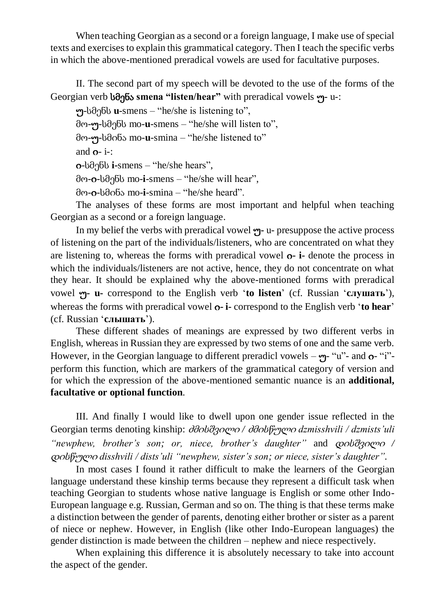When teaching Georgian as a second or a foreign language, I make use of special texts and exercises to explain this grammatical category. Then I teach the specific verbs in which the above-mentioned preradical vowels are used for facultative purposes.

II. The second part of my speech will be devoted to the use of the forms of the Georgian verb სმენა **smena "listen/hear"** with preradical vowels უ**-** u-:

უ-სმენს **u**-smens – "he/she is listening to", მო-უ-სმენს mo-**u**-smens – "he/she will listen to", მო-უ-სმინა mo-**u**-smina – "he/she listened to" and  $o- i-$ : ი-სმენს **i-**smens – "he/she hears", მო-ი-სმენს mo-**i**-smens – "he/she will hear", მო-ი-სმინა mo-**i**-smina – "he/she heard".

The analyses of these forms are most important and helpful when teaching Georgian as a second or a foreign language.

In my belief the verbs with preradical vowel უ**-** u- presuppose the active process of listening on the part of the individuals/listeners, who are concentrated on what they are listening to, whereas the forms with preradical vowel ი**- i-** denote the process in which the individuals/listeners are not active, hence, they do not concentrate on what they hear. It should be explained why the above-mentioned forms with preradical vowel უ**- u-** correspond to the English verb '**to listen**' (cf. Russian '**cлушать**'), whereas the forms with preradical vowel  $o$ - **i**-correspond to the English verb '**to** hear' (cf. Russian '**cлышать**').

These different shades of meanings are expressed by two different verbs in English, whereas in Russian they are expressed by two stems of one and the same verb. However, in the Georgian language to different preradicl vowels  $-\gamma$ - "u"- and  $\sigma$ - "i"perform this function, which are markers of the grammatical category of version and for which the expression of the above-mentioned semantic nuance is an **additional, facultative or optional function**.

III. And finally I would like to dwell upon one gender issue reflected in the Georgian terms denoting kinship: ძმისშვილი */* ძმისწული *dzmisshvili / dzmists'uli "newphew, brother's son; or, niece, brother's daughter"* and დისშვილი */*  დისწული *disshvili / dists'uli "newphew, sister's son; or niece, sister's daughter".* 

In most cases I found it rather difficult to make the learners of the Georgian language understand these kinship terms because they represent a difficult task when teaching Georgian to students whose native language is English or some other Indo-European language e.g. Russian, German and so on. The thing is that these terms make a distinction between the gender of parents, denoting either brother or sister as a parent of niece or nephew. However, in English (like other Indo-European languages) the gender distinction is made between the children – nephew and niece respectively.

When explaining this difference it is absolutely necessary to take into account the aspect of the gender.